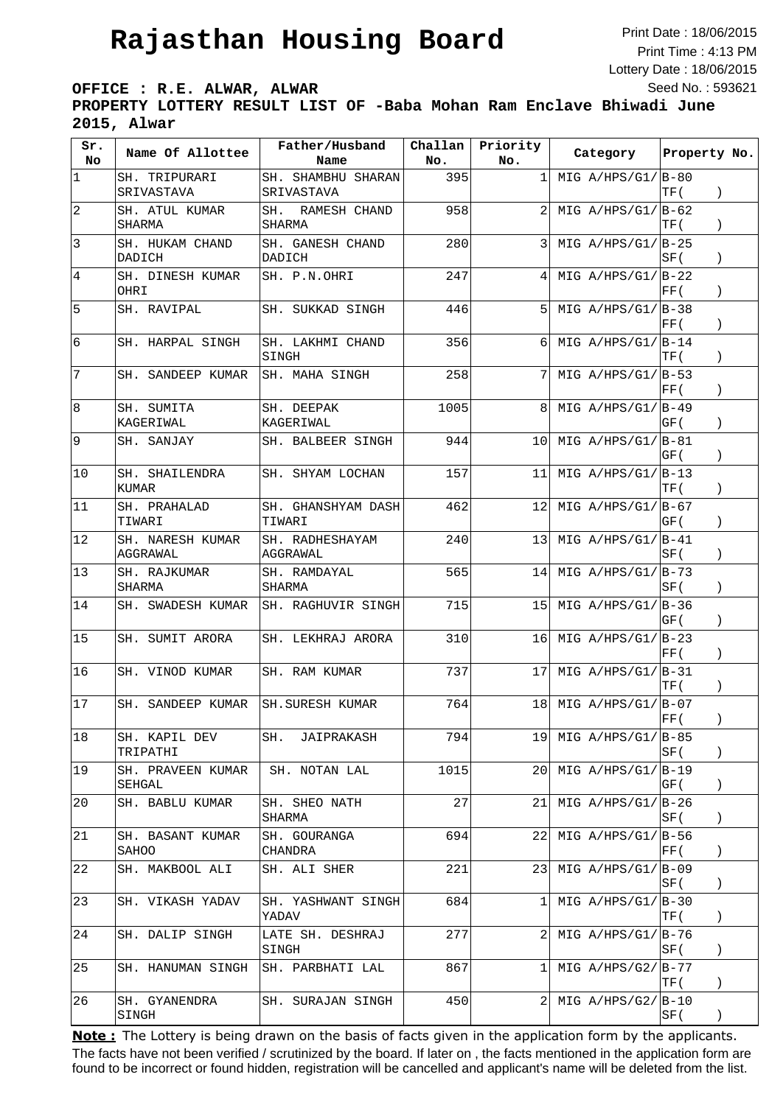Print Date : 18/06/2015 Print Time : 4:13 PM Lottery Date : 18/06/2015 Seed No. : 593621

**OFFICE : R.E. ALWAR, ALWAR PROPERTY LOTTERY RESULT LIST OF -Baba Mohan Ram Enclave Bhiwadi June 2015, Alwar**

| Sr.<br>No       | Name Of Allottee                | Father/Husband<br>Name               | Challan<br>No. | Priority<br>No. | Category             | Property No.                                     |
|-----------------|---------------------------------|--------------------------------------|----------------|-----------------|----------------------|--------------------------------------------------|
| $\mathbf 1$     | SH. TRIPURARI<br>SRIVASTAVA     | SH. SHAMBHU SHARAN<br>SRIVASTAVA     | 395            | 1               | MIG $A/HPS/G1/ B-80$ | TF (<br>$\left( \right)$                         |
| $\overline{2}$  | SH. ATUL KUMAR<br><b>SHARMA</b> | SH.<br>RAMESH CHAND<br><b>SHARMA</b> | 958            | 2               | MIG $A/HPS/G1/IB-62$ | TF (                                             |
| 3               | SH. HUKAM CHAND<br>DADICH       | SH. GANESH CHAND<br>DADICH           | 280            | 3               | MIG $A/HPS/G1/IB-25$ | SF (<br>$\left( \right)$                         |
| 4               | SH. DINESH KUMAR<br>OHRI        | SH. P.N.OHRI                         | 247            | 4               | MIG $A/HPS/G1/ B-22$ | FF(<br>$\left( \right)$                          |
| 5               | SH. RAVIPAL                     | SH. SUKKAD SINGH                     | 446            | 5               | MIG $A/HPS/G1/IB-38$ | FF(<br>$\lambda$                                 |
| $6\overline{6}$ | SH. HARPAL SINGH                | SH. LAKHMI CHAND<br>SINGH            | 356            | 6               | MIG $A/HPS/G1/ B-14$ | TF (<br>$\mathcal{C}$                            |
| 7               | SH. SANDEEP KUMAR               | SH. MAHA SINGH                       | 258            | 7               | MIG $A/HPS/G1/ B-53$ | FF (                                             |
| 8               | SH. SUMITA<br>KAGERIWAL         | SH. DEEPAK<br>KAGERIWAL              | 1005           | 8               | MIG $A/HPS/G1/ B-49$ | GF (<br>$\lambda$                                |
| 9               | SH. SANJAY                      | SH. BALBEER SINGH                    | 944            | 10              | MIG $A/HPS/G1/IB-81$ | GF (<br>$\left( \right)$                         |
| 10              | SH. SHAILENDRA<br><b>KUMAR</b>  | SH. SHYAM LOCHAN                     | 157            | 11              | MIG $A/HPS/G1/ B-13$ | TF (                                             |
| 11              | SH. PRAHALAD<br>TIWARI          | SH. GHANSHYAM DASH<br>TIWARI         | 462            | 12              | MIG $A/HPS/G1/IB-67$ | GF (<br>$\mathcal{C}$                            |
| 12              | SH. NARESH KUMAR<br>AGGRAWAL    | SH. RADHESHAYAM<br>AGGRAWAL          | 240            | 13              | MIG $A/HPS/G1/ B-41$ | SF (<br>$\left( \right)$                         |
| 13              | SH. RAJKUMAR<br>SHARMA          | SH. RAMDAYAL<br>SHARMA               | 565            | 14              | MIG $A/HPS/G1/ B-73$ | SF (<br>$\left( \right)$                         |
| 14              | SH. SWADESH KUMAR               | SH. RAGHUVIR SINGH                   | 715            | 15              | MIG $A/HPS/G1/ B-36$ | GF (<br>$\left( \right)$                         |
| 15              | SH. SUMIT ARORA                 | SH. LEKHRAJ ARORA                    | 310            | 16              | MIG $A/HPS/G1/ B-23$ | FF(                                              |
| 16              | SH. VINOD KUMAR                 | SH. RAM KUMAR                        | 737            | 17              | MIG $A/HPS/G1/ B-31$ | TF (<br>$\left( \right)$                         |
| 17              | SH. SANDEEP KUMAR               | <b>SH. SURESH KUMAR</b>              | 764            | 18              | MIG $A/HPS/G1/IB-07$ | FF(<br>$\left( \right)$                          |
| 18              | SH. KAPIL DEV<br>TRIPATHI       | SH.<br>JAIPRAKASH                    | 794            | 191             | MIG $A/HPS/G1/ B-85$ | SF (<br>$\left( \right)$                         |
| 19              | SH. PRAVEEN KUMAR<br>SEHGAL     | SH. NOTAN LAL                        | 1015           | 20              | MIG $A/HPS/G1/ B-19$ | GF (<br>$\left( \right)$                         |
| 20              | SH. BABLU KUMAR                 | SH. SHEO NATH<br>SHARMA              | 27             | 21              | MIG $A/HPS/G1/ B-26$ | SF (<br>$\left( \right)$                         |
| 21              | SH. BASANT KUMAR<br>SAHOO       | SH. GOURANGA<br>CHANDRA              | 694            | 22              | MIG $A/HPS/G1/IB-56$ | $\left  \text{FF}\left( \right. \right. \right.$ |
| 22              | SH. MAKBOOL ALI                 | SH. ALI SHER                         | 221            | 231             | MIG $A/HPS/G1/IB-09$ | SF (<br>$\left( \right)$                         |
| 23              | SH. VIKASH YADAV                | SH. YASHWANT SINGH<br>YADAV          | 684            | 1               | MIG $A/HPS/G1/ B-30$ | TF (<br>$\left( \right)$                         |
| 24              | SH. DALIP SINGH                 | LATE SH. DESHRAJ<br>SINGH            | 277            | 2               | MIG $A/HPS/G1/ B-76$ | SF (<br>$\left( \right)$                         |
| 25              | SH. HANUMAN SINGH               | SH. PARBHATI LAL                     | 867            | 1               | MIG $A/HPS/G2/ B-77$ | TF (<br>$\left( \right)$                         |
| 26              | SH. GYANENDRA<br>SINGH          | SH. SURAJAN SINGH                    | 450            | 2               | MIG $A/HPS/G2/ B-10$ | SF (<br>$\left( \right)$                         |

The facts have not been verified / scrutinized by the board. If later on , the facts mentioned in the application form are found to be incorrect or found hidden, registration will be cancelled and applicant's name will be deleted from the list. **Note:** The Lottery is being drawn on the basis of facts given in the application form by the applicants.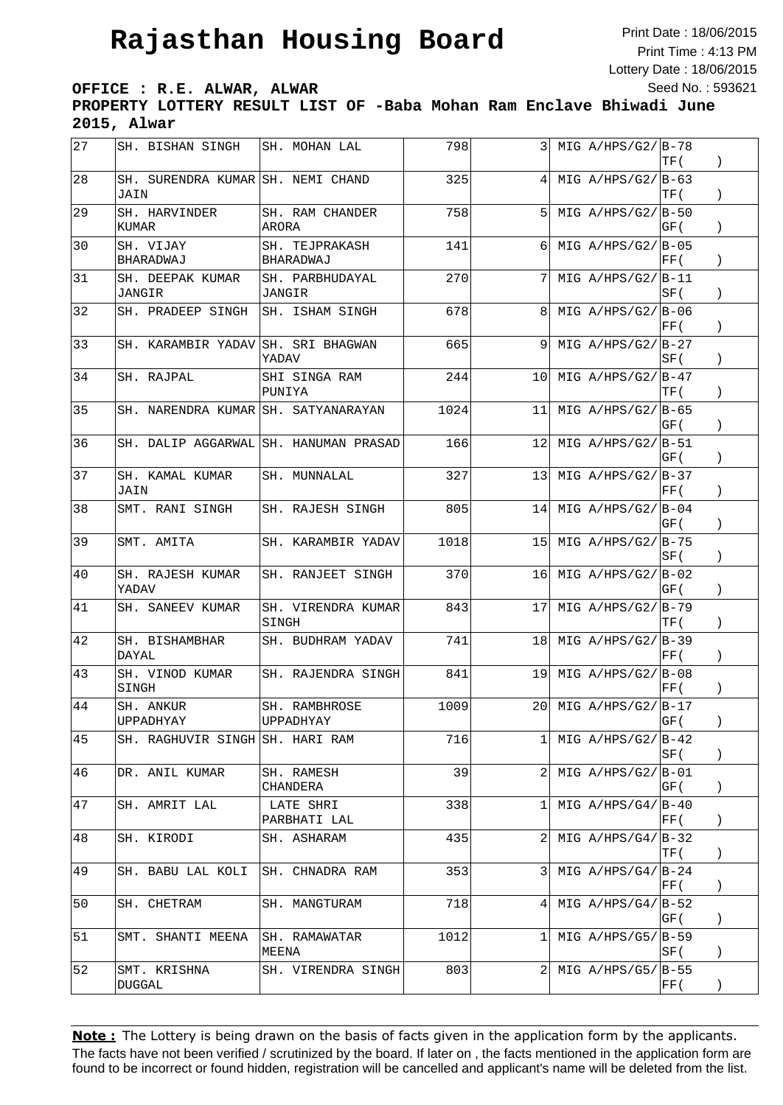Print Date : 18/06/2015 Print Time : 4:13 PM Lottery Date : 18/06/2015 Seed No. : 593621

**OFFICE : R.E. ALWAR, ALWAR**

**PROPERTY LOTTERY RESULT LIST OF -Baba Mohan Ram Enclave Bhiwadi June 2015, Alwar**

| 27 | SH. BISHAN SINGH                          | SH. MOHAN LAL                         | 798  | 3    | MIG $A/HPS/G2/ B-78$ | TF (                                             |                  |
|----|-------------------------------------------|---------------------------------------|------|------|----------------------|--------------------------------------------------|------------------|
| 28 | SH. SURENDRA KUMAR SH. NEMI CHAND<br>JAIN |                                       | 325  | 4    | MIG $A/HPS/G2/IB-63$ | TF (                                             | $\left( \right)$ |
| 29 | SH. HARVINDER<br>KUMAR                    | SH. RAM CHANDER<br>ARORA              | 758  |      | MIG $A/HPS/G2/IB-50$ | GF (                                             | $\left( \right)$ |
| 30 | SH. VIJAY<br>BHARADWAJ                    | SH. TEJPRAKASH<br>BHARADWAJ           | 141  | 6    | MIG $A/HPS/G2/IB-05$ | FF(                                              |                  |
| 31 | SH. DEEPAK KUMAR<br>JANGIR                | SH. PARBHUDAYAL<br>JANGIR             | 270  | 7    | MIG $A/HPS/G2/ B-11$ | SF (                                             | $\mathcal{C}$    |
| 32 | SH. PRADEEP SINGH                         | SH. ISHAM SINGH                       | 678  | 8    | MIG $A/HPS/G2/IB-06$ | $\vert$ FF (                                     | $\left( \right)$ |
| 33 | SH. KARAMBIR YADAV                        | SH. SRI BHAGWAN<br>YADAV              | 665  | 9    | MIG $A/HPS/G2/ B-27$ | SF (                                             | $\lambda$        |
| 34 | SH. RAJPAL                                | SHI SINGA RAM<br>PUNIYA               | 244  | 10   | MIG $A/HPS/G2/IB-47$ | TF (                                             | $\left( \right)$ |
| 35 | SH. NARENDRA KUMAR SH. SATYANARAYAN       |                                       | 1024 | 11   | MIG $A/HPS/G2/B-65$  | GF (                                             | $\lambda$        |
| 36 |                                           | SH. DALIP AGGARWAL SH. HANUMAN PRASAD | 166  | 12   | MIG $A/HPS/G2/IB-51$ | GF (                                             | $\lambda$        |
| 37 | SH. KAMAL KUMAR<br>JAIN                   | SH. MUNNALAL                          | 327  | 13   | MIG $A/HPS/G2/IB-37$ | FF (                                             |                  |
| 38 | SMT. RANI SINGH                           | SH. RAJESH SINGH                      | 805  | 14   | MIG $A/HPS/G2/IB-04$ | GF (                                             | $\lambda$        |
| 39 | SMT. AMITA                                | SH. KARAMBIR YADAV                    | 1018 | 15   | MIG $A/HPS/G2/IB-75$ | SF (                                             | $\left( \right)$ |
| 40 | SH. RAJESH KUMAR<br>YADAV                 | SH. RANJEET SINGH                     | 370  | 16   | MIG $A/HPS/G2/IB-02$ | GF (                                             | $\left( \right)$ |
| 41 | SH. SANEEV KUMAR                          | SH. VIRENDRA KUMAR<br>SINGH           | 843  | 17   | MIG $A/HPS/G2/ B-79$ | TF (                                             | $\left( \right)$ |
| 42 | SH. BISHAMBHAR<br>DAYAL                   | SH. BUDHRAM YADAV                     | 741  | 18   | MIG $A/HPS/G2/IB-39$ | FF (                                             | $\left( \right)$ |
| 43 | SH. VINOD KUMAR<br>SINGH                  | SH. RAJENDRA SINGH                    | 841  | 19 I | MIG $A/HPS/G2/B-08$  | FF (                                             | $\mathcal{C}$    |
| 44 | SH. ANKUR<br>UPPADHYAY                    | SH. RAMBHROSE<br>UPPADHYAY            | 1009 | 20 l | MIG $A/HPS/G2/IB-17$ | GF (                                             |                  |
| 45 | SH. RAGHUVIR SINGH SH. HARI RAM           |                                       | 716  | 1    | $MIG A/HPS/G2/ B-42$ | SF (                                             | $\left( \right)$ |
| 46 | DR. ANIL KUMAR                            | SH. RAMESH<br>CHANDERA                | 39   |      | MIG $A/HPS/G2/ B-01$ | GF (                                             | $\left( \right)$ |
| 47 | SH. AMRIT LAL                             | LATE SHRI<br>PARBHATI LAL             | 338  | 1    | MIG $A/HPS/G4/IB-40$ | $\left  \text{FF}\left( \right. \right. \right.$ | $\left( \right)$ |
| 48 | SH. KIRODI                                | SH. ASHARAM                           | 435  | 2    | MIG $A/HPS/G4/IB-32$ | TF (                                             | $\left( \right)$ |
| 49 | SH. BABU LAL KOLI                         | SH. CHNADRA RAM                       | 353  | 3    | MIG $A/HPS/G4/ B-24$ | FF (                                             | $\lambda$        |
| 50 | SH. CHETRAM                               | SH. MANGTURAM                         | 718  | 41   | MIG $A/HPS/G4/IB-52$ | GF (                                             | $\left( \right)$ |
| 51 | SMT. SHANTI MEENA                         | SH. RAMAWATAR<br>MEENA                | 1012 | 1    | MIG $A/HPS/G5/IB-59$ | ISF (                                            | $\left( \right)$ |
| 52 | SMT. KRISHNA<br>DUGGAL                    | SH. VIRENDRA SINGH                    | 803  | 2    | MIG $A/HPS/G5/IB-55$ | $\left  \mathrm{FF}\left( \right. \right.$       | $\left( \right)$ |

The facts have not been verified / scrutinized by the board. If later on , the facts mentioned in the application form are found to be incorrect or found hidden, registration will be cancelled and applicant's name will be deleted from the list. **Note:** The Lottery is being drawn on the basis of facts given in the application form by the applicants.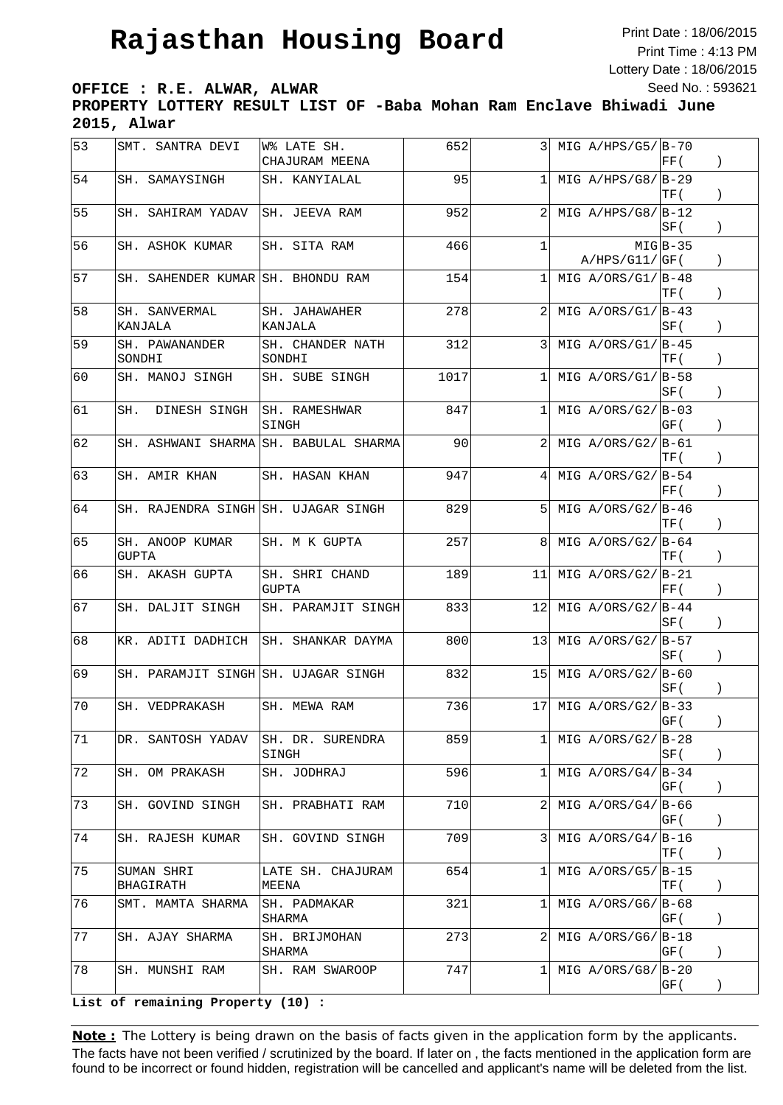Print Date : 18/06/2015 Print Time : 4:13 PM Lottery Date : 18/06/2015 Seed No. : 593621

**OFFICE : R.E. ALWAR, ALWAR**

**PROPERTY LOTTERY RESULT LIST OF -Baba Mohan Ram Enclave Bhiwadi June 2015, Alwar**

| 53 | SMT. SANTRA DEVI                    | W% LATE SH.<br>CHAJURAM MEENA | 652  | 3              | MIG $A/HPS/G5/ B-70$ | FF(        |                  |
|----|-------------------------------------|-------------------------------|------|----------------|----------------------|------------|------------------|
| 54 | SH. SAMAYSINGH                      | SH. KANYIALAL                 | 95   | 1              | MIG $A/HPS/G8/IB-29$ | TF (       | $\lambda$        |
| 55 | SH. SAHIRAM YADAV                   | SH. JEEVA RAM                 | 952  |                | MIG $A/HPS/G8/IB-12$ | SF (       | $\left( \right)$ |
| 56 | SH. ASHOK KUMAR                     | SH. SITA RAM                  | 466  | $\mathbf{1}$   | A/HPS/G11/GF(        | $MIG B-35$ |                  |
| 57 | SH. SAHENDER KUMAR SH. BHONDU RAM   |                               | 154  | $\mathbf{1}$   | MIG $A/ORS/G1/ B-48$ | TF (       | $\left( \right)$ |
| 58 | SH. SANVERMAL<br>KANJALA            | SH. JAHAWAHER<br>KANJALA      | 278  |                | MIG $A/ORS/G1/ B-43$ | SF (       | $\left( \right)$ |
| 59 | SH. PAWANANDER<br>SONDHI            | SH. CHANDER NATH<br>SONDHI    | 312  | 3              | MIG $A/ORS/G1/IB-45$ | TF (       | $\lambda$        |
| 60 | SH. MANOJ SINGH                     | SH. SUBE SINGH                | 1017 | $\mathbf{1}$   | MIG $A/ORS/G1/ B-58$ | SF (       | $\left( \right)$ |
| 61 | SH.<br>DINESH SINGH                 | SH. RAMESHWAR<br>SINGH        | 847  | $\mathbf{1}$   | MIG $A/ORS/G2/ B-03$ | GF (       | $\left( \right)$ |
| 62 | SH. ASHWANI SHARMA                  | SH. BABULAL SHARMA            | 90   | 2              | MIG $A/ORS/G2/ B-61$ | TF (       | $\left( \right)$ |
| 63 | SH. AMIR KHAN                       | SH. HASAN KHAN                | 947  | 4              | MIG $A/ORS/G2/IB-54$ | FF (       |                  |
| 64 | SH. RAJENDRA SINGH SH. UJAGAR SINGH |                               | 829  | 5              | MIG $A/ORS/G2/ B-46$ | TF (       | $\mathcal{L}$    |
| 65 | SH. ANOOP KUMAR<br><b>GUPTA</b>     | SH. M K GUPTA                 | 257  | 8              | MIG $A/ORS/G2/ B-64$ | TF (       | $\left( \right)$ |
| 66 | SH. AKASH GUPTA                     | SH. SHRI CHAND<br>GUPTA       | 189  | 11             | MIG $A/ORS/G2/ B-21$ | FF(        | $\mathcal{L}$    |
| 67 | SH. DALJIT SINGH                    | SH. PARAMJIT SINGH            | 833  | 12             | MIG $A/ORS/G2/ B-44$ | SF (       | $\mathcal{E}$    |
| 68 | KR. ADITI DADHICH                   | SH. SHANKAR DAYMA             | 800  | 131            | $MIG A/ORS/G2/IB-57$ | SF (       | $\left( \right)$ |
| 69 | SH. PARAMJIT SINGH SH. UJAGAR SINGH |                               | 832  | 151            | MIG $A/ORS/G2/ B-60$ | ISF (      | $\left( \right)$ |
| 70 | SH. VEDPRAKASH                      | SH. MEWA RAM                  | 736  | 17             | MIG $A/ORS/G2/ B-33$ | GF (       | $\left( \right)$ |
| 71 | DR. SANTOSH YADAV                   | SH. DR. SURENDRA<br>SINGH     | 859  | $\mathbf{1}$   | MIG $A/ORS/G2/ B-28$ | SF (       | $\left( \right)$ |
| 72 | SH. OM PRAKASH                      | SH. JODHRAJ                   | 596  | 11             | MIG $A/ORS/G4/IB-34$ | GF (       | $\left( \right)$ |
| 73 | SH. GOVIND SINGH                    | SH. PRABHATI RAM              | 710  | $\overline{2}$ | $MIG A/ORS/G4/IB-66$ | GF (       | $\left( \right)$ |
| 74 | SH. RAJESH KUMAR                    | SH. GOVIND SINGH              | 709  | 3              | MIG $A/ORS/G4/IB-16$ | TF (       | $\left( \right)$ |
| 75 | SUMAN SHRI<br>BHAGIRATH             | LATE SH. CHAJURAM<br>MEENA    | 654  | 11             | MIG $A/ORS/G5/ B-15$ | TF (       | $\left( \right)$ |
| 76 | SMT. MAMTA SHARMA                   | SH. PADMAKAR<br>SHARMA        | 321  | 1              | MIG $A/ORS/G6/ B-68$ | GF (       | $\left( \right)$ |
| 77 | SH. AJAY SHARMA                     | SH. BRIJMOHAN<br>SHARMA       | 273  | $\overline{2}$ | MIG $A/ORS/G6/ B-18$ | GF (       | $\left( \right)$ |
| 78 | SH. MUNSHI RAM                      | SH. RAM SWAROOP               | 747  | 1 <sup>1</sup> | MIG $A/ORS/G8/ B-20$ | GF (       | $\left( \right)$ |

**List of remaining Property (10) :**

Note: The Lottery is being drawn on the basis of facts given in the application form by the applicants. The facts have not been verified / scrutinized by the board. If later on , the facts mentioned in the application form are found to be incorrect or found hidden, registration will be cancelled and applicant's name will be deleted from the list.

 $\mathcal{B}_1=\mathcal{B}_2=\mathcal{B}_3=\mathcal{B}_4=\mathcal{B}_5$  , B-83  $\mathcal{B}_5=\mathcal{B}_6$  , B-83  $\mathcal{B}_7=\mathcal{B}_8$  , B-83  $\mathcal{B}_8=\mathcal{B}_8$